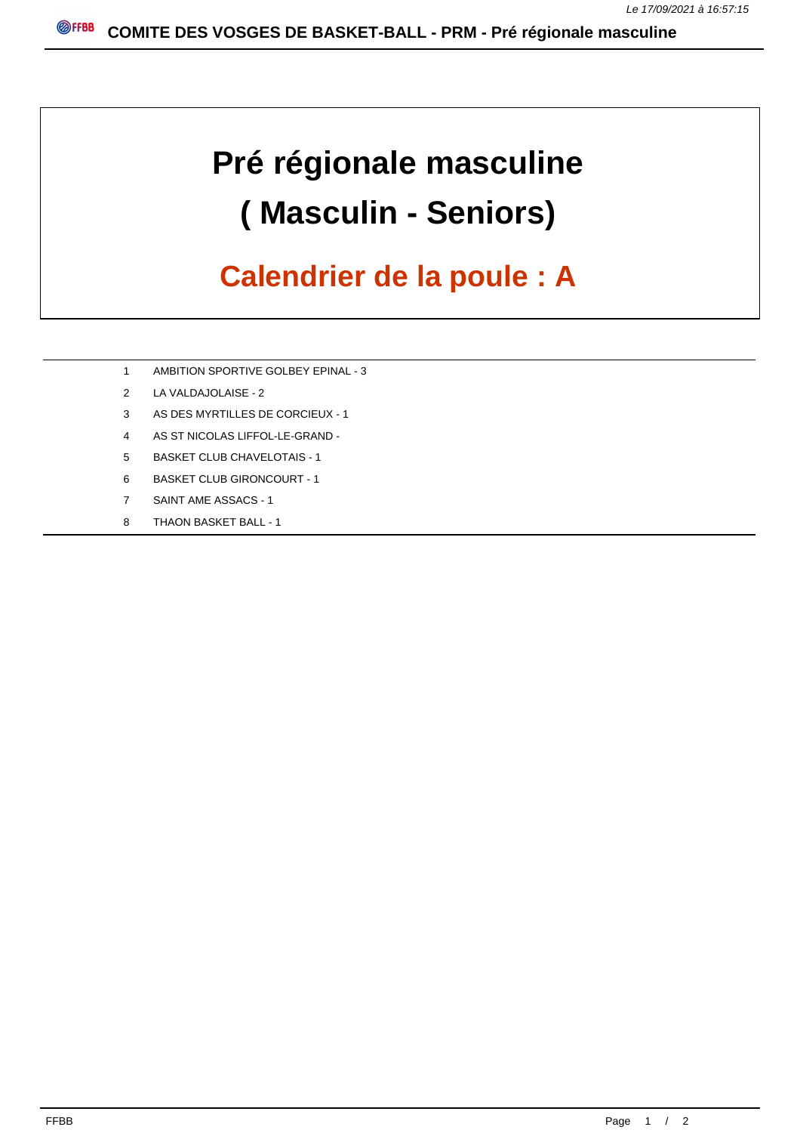## **Pré régionale masculine ( Masculin - Seniors)**

## **Calendrier de la poule : A**

- 1 AMBITION SPORTIVE GOLBEY EPINAL 3
- 2 LA VALDAJOLAISE 2
- 3 AS DES MYRTILLES DE CORCIEUX 1
- 4 AS ST NICOLAS LIFFOL-LE-GRAND -
- 5 BASKET CLUB CHAVELOTAIS 1
- 6 BASKET CLUB GIRONCOURT 1
- 7 SAINT AME ASSACS 1
- 8 THAON BASKET BALL 1